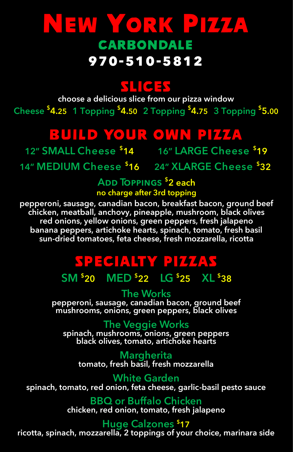## NEW YORK PF44 **CARBONDALE 970-510-5812**

## **ZHICLES**

**choose a delicious slice from our pizza window Cheese \$ 4.25 1 Topping \$ 4.50 2 Topping \$ 4.75 3 Topping \$ 5.00**

## BUILD YOUR OWN PIZZA

**12" SMALL Cheese \$ 14 16" LARGE Cheese \$ 19**

**14" MEDIUM Cheese \$ 16 24" XLARGE Cheese \$ 32**

**Add Toppings \$ 2 each no charge after 3rd topping**

**pepperoni, sausage, canadian bacon, breakfast bacon, ground beef chicken, meatball, anchovy, pineapple, mushroom, black olives red onions, yellow onions, green peppers, fresh jalapeno banana peppers, artichoke hearts, spinach, tomato, fresh basil sun-dried tomatoes, feta cheese, fresh mozzarella, ricotta**

## SPECIALTY PIZZAS

**SM \$ 20 MED \$ 22 LG \$ 25 XL \$ 38**

**The Works pepperoni, sausage, canadian bacon, ground beef mushrooms, onions, green peppers, black olives**

**The Veggie Works spinach, mushrooms, onions, green peppers black olives, tomato, artichoke hearts**

**Margherita tomato, fresh basil, fresh mozzarella**

**White Garden spinach, tomato, red onion, feta cheese, garlic-basil pesto sauce**

> **BBQ or Buffalo Chicken chicken, red onion, tomato, fresh jalapeno**

#### **Huge Calzones \$17**

**ricotta, spinach, mozzarella, 2 toppings of your choice, marinara side**